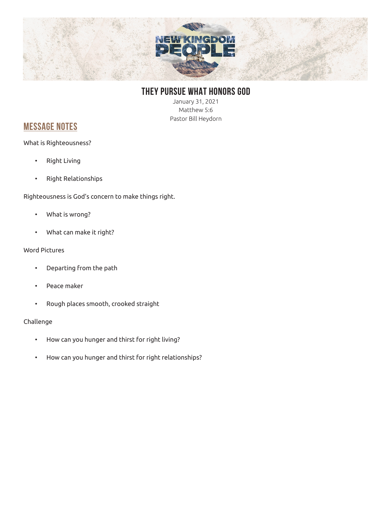

## **THEY PURSUE WHAT HONORS GOD**

January 31, 2021 Matthew 5:6 Pastor Bill Heydorn

### **MESSAGE NOTES**

What is Righteousness?

- Right Living
- Right Relationships

Righteousness is God's concern to make things right.

- What is wrong?
- What can make it right?

#### Word Pictures

- Departing from the path
- Peace maker
- Rough places smooth, crooked straight

### Challenge

- How can you hunger and thirst for right living?
- How can you hunger and thirst for right relationships?